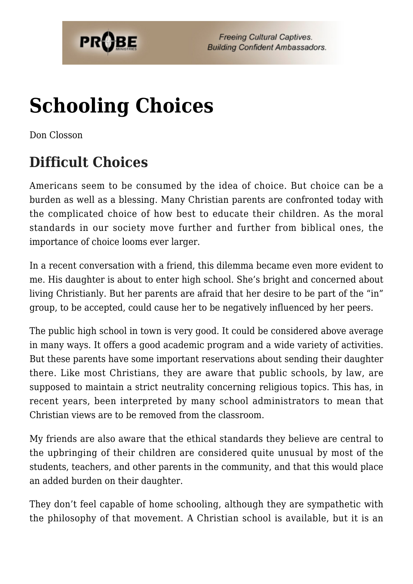

# **[Schooling Choices](https://probe.org/schooling-choices/)**

Don Closson

## **Difficult Choices**

Americans seem to be consumed by the idea of choice. But choice can be a burden as well as a blessing. Many Christian parents are confronted today with the complicated choice of how best to educate their children. As the moral standards in our society move further and further from biblical ones, the importance of choice looms ever larger.

In a recent conversation with a friend, this dilemma became even more evident to me. His daughter is about to enter high school. She's bright and concerned about living Christianly. But her parents are afraid that her desire to be part of the "in" group, to be accepted, could cause her to be negatively influenced by her peers.

The public high school in town is very good. It could be considered above average in many ways. It offers a good academic program and a wide variety of activities. But these parents have some important reservations about sending their daughter there. Like most Christians, they are aware that public schools, by law, are supposed to maintain a strict neutrality concerning religious topics. This has, in recent years, been interpreted by many school administrators to mean that Christian views are to be removed from the classroom.

My friends are also aware that the ethical standards they believe are central to the upbringing of their children are considered quite unusual by most of the students, teachers, and other parents in the community, and that this would place an added burden on their daughter.

They don't feel capable of home schooling, although they are sympathetic with the philosophy of that movement. A Christian school is available, but it is an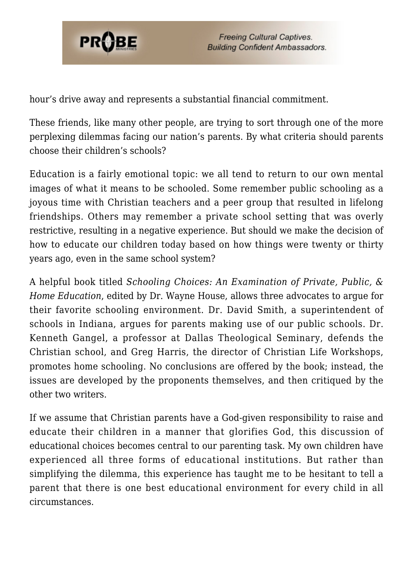

hour's drive away and represents a substantial financial commitment.

These friends, like many other people, are trying to sort through one of the more perplexing dilemmas facing our nation's parents. By what criteria should parents choose their children's schools?

Education is a fairly emotional topic: we all tend to return to our own mental images of what it means to be schooled. Some remember public schooling as a joyous time with Christian teachers and a peer group that resulted in lifelong friendships. Others may remember a private school setting that was overly restrictive, resulting in a negative experience. But should we make the decision of how to educate our children today based on how things were twenty or thirty years ago, even in the same school system?

A helpful book titled *Schooling Choices: An Examination of Private, Public, & Home Education*, edited by Dr. Wayne House, allows three advocates to argue for their favorite schooling environment. Dr. David Smith, a superintendent of schools in Indiana, argues for parents making use of our public schools. Dr. Kenneth Gangel, a professor at Dallas Theological Seminary, defends the Christian school, and Greg Harris, the director of Christian Life Workshops, promotes home schooling. No conclusions are offered by the book; instead, the issues are developed by the proponents themselves, and then critiqued by the other two writers.

If we assume that Christian parents have a God-given responsibility to raise and educate their children in a manner that glorifies God, this discussion of educational choices becomes central to our parenting task. My own children have experienced all three forms of educational institutions. But rather than simplifying the dilemma, this experience has taught me to be hesitant to tell a parent that there is one best educational environment for every child in all circumstances.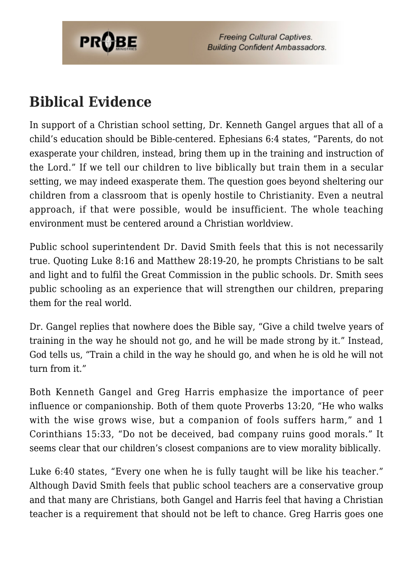

## **Biblical Evidence**

In support of a Christian school setting, Dr. Kenneth Gangel argues that all of a child's education should be Bible-centered. Ephesians 6:4 states, "Parents, do not exasperate your children, instead, bring them up in the training and instruction of the Lord." If we tell our children to live biblically but train them in a secular setting, we may indeed exasperate them. The question goes beyond sheltering our children from a classroom that is openly hostile to Christianity. Even a neutral approach, if that were possible, would be insufficient. The whole teaching environment must be centered around a Christian worldview.

Public school superintendent Dr. David Smith feels that this is not necessarily true. Quoting Luke 8:16 and Matthew 28:19-20, he prompts Christians to be salt and light and to fulfil the Great Commission in the public schools. Dr. Smith sees public schooling as an experience that will strengthen our children, preparing them for the real world.

Dr. Gangel replies that nowhere does the Bible say, "Give a child twelve years of training in the way he should not go, and he will be made strong by it." Instead, God tells us, "Train a child in the way he should go, and when he is old he will not turn from it."

Both Kenneth Gangel and Greg Harris emphasize the importance of peer influence or companionship. Both of them quote Proverbs 13:20, "He who walks with the wise grows wise, but a companion of fools suffers harm," and 1 Corinthians 15:33, "Do not be deceived, bad company ruins good morals." It seems clear that our children's closest companions are to view morality biblically.

Luke 6:40 states, "Every one when he is fully taught will be like his teacher." Although David Smith feels that public school teachers are a conservative group and that many are Christians, both Gangel and Harris feel that having a Christian teacher is a requirement that should not be left to chance. Greg Harris goes one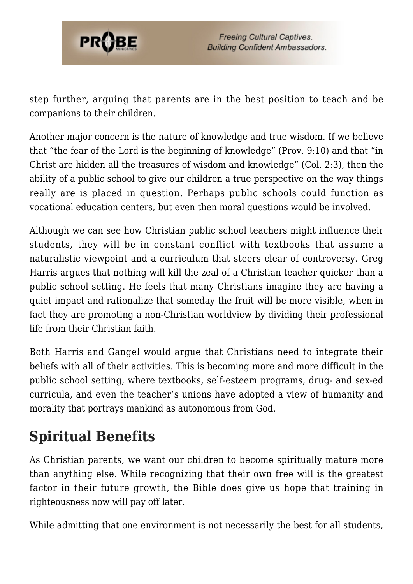

step further, arguing that parents are in the best position to teach and be companions to their children.

Another major concern is the nature of knowledge and true wisdom. If we believe that "the fear of the Lord is the beginning of knowledge" (Prov. 9:10) and that "in Christ are hidden all the treasures of wisdom and knowledge" (Col. 2:3), then the ability of a public school to give our children a true perspective on the way things really are is placed in question. Perhaps public schools could function as vocational education centers, but even then moral questions would be involved.

Although we can see how Christian public school teachers might influence their students, they will be in constant conflict with textbooks that assume a naturalistic viewpoint and a curriculum that steers clear of controversy. Greg Harris argues that nothing will kill the zeal of a Christian teacher quicker than a public school setting. He feels that many Christians imagine they are having a quiet impact and rationalize that someday the fruit will be more visible, when in fact they are promoting a non-Christian worldview by dividing their professional life from their Christian faith.

Both Harris and Gangel would argue that Christians need to integrate their beliefs with all of their activities. This is becoming more and more difficult in the public school setting, where textbooks, self-esteem programs, drug- and sex-ed curricula, and even the teacher's unions have adopted a view of humanity and morality that portrays mankind as autonomous from God.

## **Spiritual Benefits**

As Christian parents, we want our children to become spiritually mature more than anything else. While recognizing that their own free will is the greatest factor in their future growth, the Bible does give us hope that training in righteousness now will pay off later.

While admitting that one environment is not necessarily the best for all students,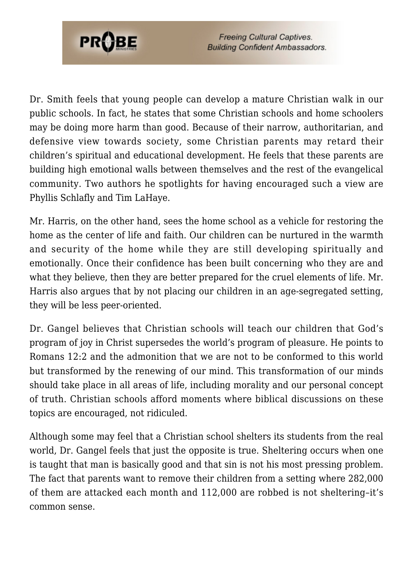

Dr. Smith feels that young people can develop a mature Christian walk in our public schools. In fact, he states that some Christian schools and home schoolers may be doing more harm than good. Because of their narrow, authoritarian, and defensive view towards society, some Christian parents may retard their children's spiritual and educational development. He feels that these parents are building high emotional walls between themselves and the rest of the evangelical community. Two authors he spotlights for having encouraged such a view are Phyllis Schlafly and Tim LaHaye.

Mr. Harris, on the other hand, sees the home school as a vehicle for restoring the home as the center of life and faith. Our children can be nurtured in the warmth and security of the home while they are still developing spiritually and emotionally. Once their confidence has been built concerning who they are and what they believe, then they are better prepared for the cruel elements of life. Mr. Harris also argues that by not placing our children in an age-segregated setting, they will be less peer-oriented.

Dr. Gangel believes that Christian schools will teach our children that God's program of joy in Christ supersedes the world's program of pleasure. He points to Romans 12:2 and the admonition that we are not to be conformed to this world but transformed by the renewing of our mind. This transformation of our minds should take place in all areas of life, including morality and our personal concept of truth. Christian schools afford moments where biblical discussions on these topics are encouraged, not ridiculed.

Although some may feel that a Christian school shelters its students from the real world, Dr. Gangel feels that just the opposite is true. Sheltering occurs when one is taught that man is basically good and that sin is not his most pressing problem. The fact that parents want to remove their children from a setting where 282,000 of them are attacked each month and 112,000 are robbed is not sheltering–it's common sense.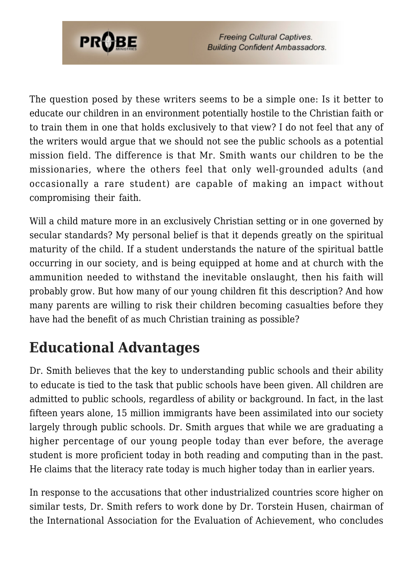

The question posed by these writers seems to be a simple one: Is it better to educate our children in an environment potentially hostile to the Christian faith or to train them in one that holds exclusively to that view? I do not feel that any of the writers would argue that we should not see the public schools as a potential mission field. The difference is that Mr. Smith wants our children to be the missionaries, where the others feel that only well-grounded adults (and occasionally a rare student) are capable of making an impact without compromising their faith.

Will a child mature more in an exclusively Christian setting or in one governed by secular standards? My personal belief is that it depends greatly on the spiritual maturity of the child. If a student understands the nature of the spiritual battle occurring in our society, and is being equipped at home and at church with the ammunition needed to withstand the inevitable onslaught, then his faith will probably grow. But how many of our young children fit this description? And how many parents are willing to risk their children becoming casualties before they have had the benefit of as much Christian training as possible?

## **Educational Advantages**

Dr. Smith believes that the key to understanding public schools and their ability to educate is tied to the task that public schools have been given. All children are admitted to public schools, regardless of ability or background. In fact, in the last fifteen years alone, 15 million immigrants have been assimilated into our society largely through public schools. Dr. Smith argues that while we are graduating a higher percentage of our young people today than ever before, the average student is more proficient today in both reading and computing than in the past. He claims that the literacy rate today is much higher today than in earlier years.

In response to the accusations that other industrialized countries score higher on similar tests, Dr. Smith refers to work done by Dr. Torstein Husen, chairman of the International Association for the Evaluation of Achievement, who concludes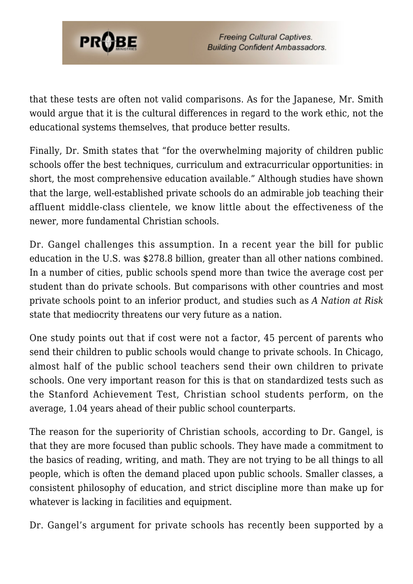

that these tests are often not valid comparisons. As for the Japanese, Mr. Smith would argue that it is the cultural differences in regard to the work ethic, not the educational systems themselves, that produce better results.

Finally, Dr. Smith states that "for the overwhelming majority of children public schools offer the best techniques, curriculum and extracurricular opportunities: in short, the most comprehensive education available." Although studies have shown that the large, well-established private schools do an admirable job teaching their affluent middle-class clientele, we know little about the effectiveness of the newer, more fundamental Christian schools.

Dr. Gangel challenges this assumption. In a recent year the bill for public education in the U.S. was \$278.8 billion, greater than all other nations combined. In a number of cities, public schools spend more than twice the average cost per student than do private schools. But comparisons with other countries and most private schools point to an inferior product, and studies such as *A Nation at Risk* state that mediocrity threatens our very future as a nation.

One study points out that if cost were not a factor, 45 percent of parents who send their children to public schools would change to private schools. In Chicago, almost half of the public school teachers send their own children to private schools. One very important reason for this is that on standardized tests such as the Stanford Achievement Test, Christian school students perform, on the average, 1.04 years ahead of their public school counterparts.

The reason for the superiority of Christian schools, according to Dr. Gangel, is that they are more focused than public schools. They have made a commitment to the basics of reading, writing, and math. They are not trying to be all things to all people, which is often the demand placed upon public schools. Smaller classes, a consistent philosophy of education, and strict discipline more than make up for whatever is lacking in facilities and equipment.

Dr. Gangel's argument for private schools has recently been supported by a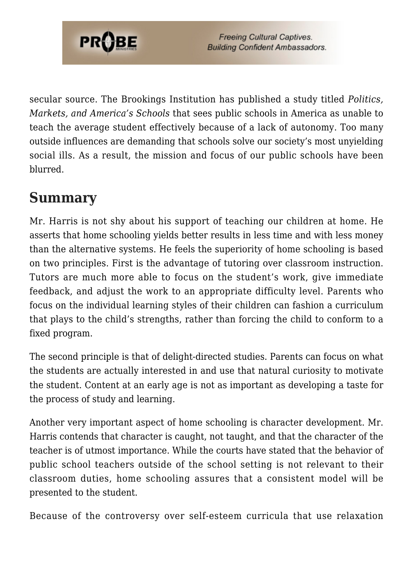

secular source. The Brookings Institution has published a study titled *Politics, Markets, and America's Schools* that sees public schools in America as unable to teach the average student effectively because of a lack of autonomy. Too many outside influences are demanding that schools solve our society's most unyielding social ills. As a result, the mission and focus of our public schools have been blurred.

#### **Summary**

Mr. Harris is not shy about his support of teaching our children at home. He asserts that home schooling yields better results in less time and with less money than the alternative systems. He feels the superiority of home schooling is based on two principles. First is the advantage of tutoring over classroom instruction. Tutors are much more able to focus on the student's work, give immediate feedback, and adjust the work to an appropriate difficulty level. Parents who focus on the individual learning styles of their children can fashion a curriculum that plays to the child's strengths, rather than forcing the child to conform to a fixed program.

The second principle is that of delight-directed studies. Parents can focus on what the students are actually interested in and use that natural curiosity to motivate the student. Content at an early age is not as important as developing a taste for the process of study and learning.

Another very important aspect of home schooling is character development. Mr. Harris contends that character is caught, not taught, and that the character of the teacher is of utmost importance. While the courts have stated that the behavior of public school teachers outside of the school setting is not relevant to their classroom duties, home schooling assures that a consistent model will be presented to the student.

Because of the controversy over self-esteem curricula that use relaxation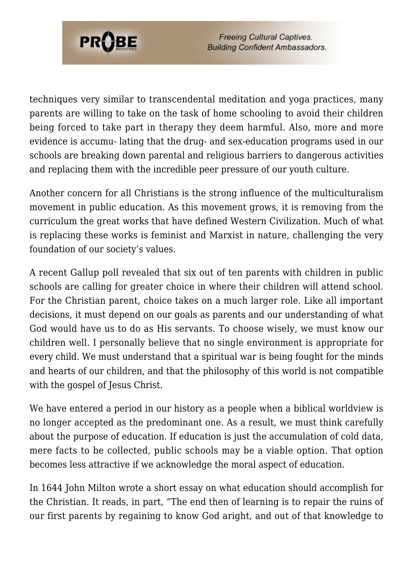

techniques very similar to transcendental meditation and yoga practices, many parents are willing to take on the task of home schooling to avoid their children being forced to take part in therapy they deem harmful. Also, more and more evidence is accumu- lating that the drug- and sex-education programs used in our schools are breaking down parental and religious barriers to dangerous activities and replacing them with the incredible peer pressure of our youth culture.

Another concern for all Christians is the strong influence of the multiculturalism movement in public education. As this movement grows, it is removing from the curriculum the great works that have defined Western Civilization. Much of what is replacing these works is feminist and Marxist in nature, challenging the very foundation of our society's values.

A recent Gallup poll revealed that six out of ten parents with children in public schools are calling for greater choice in where their children will attend school. For the Christian parent, choice takes on a much larger role. Like all important decisions, it must depend on our goals as parents and our understanding of what God would have us to do as His servants. To choose wisely, we must know our children well. I personally believe that no single environment is appropriate for every child. We must understand that a spiritual war is being fought for the minds and hearts of our children, and that the philosophy of this world is not compatible with the gospel of Jesus Christ.

We have entered a period in our history as a people when a biblical worldview is no longer accepted as the predominant one. As a result, we must think carefully about the purpose of education. If education is just the accumulation of cold data, mere facts to be collected, public schools may be a viable option. That option becomes less attractive if we acknowledge the moral aspect of education.

In 1644 John Milton wrote a short essay on what education should accomplish for the Christian. It reads, in part, "The end then of learning is to repair the ruins of our first parents by regaining to know God aright, and out of that knowledge to